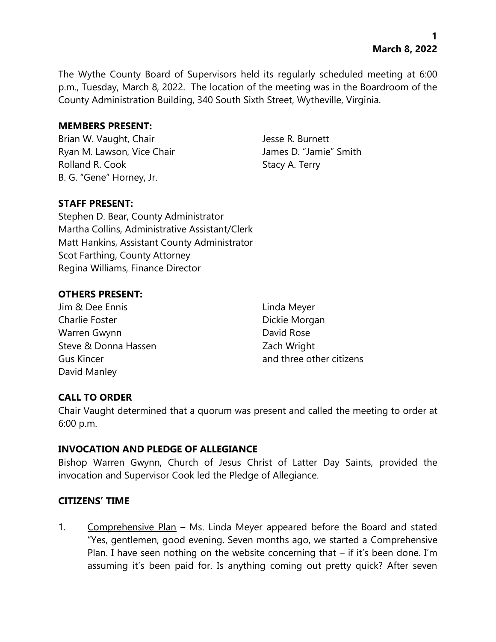The Wythe County Board of Supervisors held its regularly scheduled meeting at 6:00 p.m., Tuesday, March 8, 2022. The location of the meeting was in the Boardroom of the County Administration Building, 340 South Sixth Street, Wytheville, Virginia.

### **MEMBERS PRESENT:**

Brian W. Vaught, Chair Jesse R. Burnett Ryan M. Lawson, Vice Chair **James D. "Jamie"** Smith Rolland R. Cook Stacy A. Terry B. G. "Gene" Horney, Jr.

# **STAFF PRESENT:**

Stephen D. Bear, County Administrator Martha Collins, Administrative Assistant/Clerk Matt Hankins, Assistant County Administrator Scot Farthing, County Attorney Regina Williams, Finance Director

# **OTHERS PRESENT:**

- Jim & Dee Ennis Linda Meyer Charlie Foster **Dickie Morgan** Warren Gwynn **David Rose** Steve & Donna Hassen **Example 20** Zach Wright David Manley
- Gus Kincer and three other citizens

# **CALL TO ORDER**

Chair Vaught determined that a quorum was present and called the meeting to order at 6:00 p.m.

#### **INVOCATION AND PLEDGE OF ALLEGIANCE**

Bishop Warren Gwynn, Church of Jesus Christ of Latter Day Saints, provided the invocation and Supervisor Cook led the Pledge of Allegiance.

#### **CITIZENS' TIME**

1. Comprehensive Plan – Ms. Linda Meyer appeared before the Board and stated "Yes, gentlemen, good evening. Seven months ago, we started a Comprehensive Plan. I have seen nothing on the website concerning that – if it's been done. I'm assuming it's been paid for. Is anything coming out pretty quick? After seven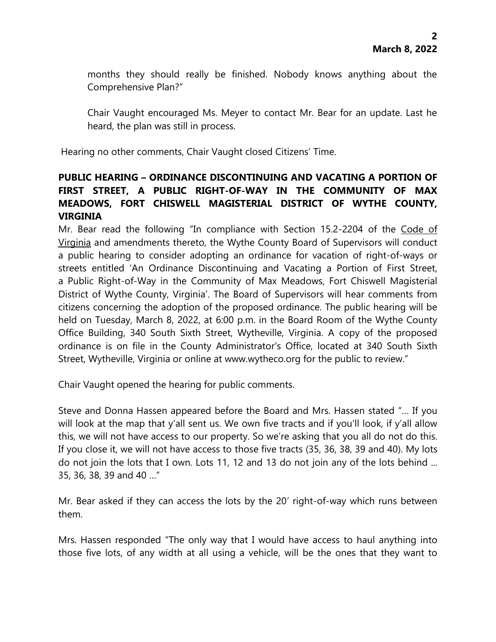months they should really be finished. Nobody knows anything about the Comprehensive Plan?"

Chair Vaught encouraged Ms. Meyer to contact Mr. Bear for an update. Last he heard, the plan was still in process.

Hearing no other comments, Chair Vaught closed Citizens' Time.

# **PUBLIC HEARING – ORDINANCE DISCONTINUING AND VACATING A PORTION OF FIRST STREET, A PUBLIC RIGHT-OF-WAY IN THE COMMUNITY OF MAX MEADOWS, FORT CHISWELL MAGISTERIAL DISTRICT OF WYTHE COUNTY, VIRGINIA**

Mr. Bear read the following "In compliance with Section 15.2-2204 of the Code of Virginia and amendments thereto, the Wythe County Board of Supervisors will conduct a public hearing to consider adopting an ordinance for vacation of right-of-ways or streets entitled 'An Ordinance Discontinuing and Vacating a Portion of First Street, a Public Right-of-Way in the Community of Max Meadows, Fort Chiswell Magisterial District of Wythe County, Virginia'. The Board of Supervisors will hear comments from citizens concerning the adoption of the proposed ordinance. The public hearing will be held on Tuesday, March 8, 2022, at 6:00 p.m. in the Board Room of the Wythe County Office Building, 340 South Sixth Street, Wytheville, Virginia. A copy of the proposed ordinance is on file in the County Administrator's Office, located at 340 South Sixth Street, Wytheville, Virginia or online at www.wytheco.org for the public to review."

Chair Vaught opened the hearing for public comments.

Steve and Donna Hassen appeared before the Board and Mrs. Hassen stated "… If you will look at the map that y'all sent us. We own five tracts and if you'll look, if y'all allow this, we will not have access to our property. So we're asking that you all do not do this. If you close it, we will not have access to those five tracts (35, 36, 38, 39 and 40). My lots do not join the lots that I own. Lots 11, 12 and 13 do not join any of the lots behind ... 35, 36, 38, 39 and 40 …"

Mr. Bear asked if they can access the lots by the 20' right-of-way which runs between them.

Mrs. Hassen responded "The only way that I would have access to haul anything into those five lots, of any width at all using a vehicle, will be the ones that they want to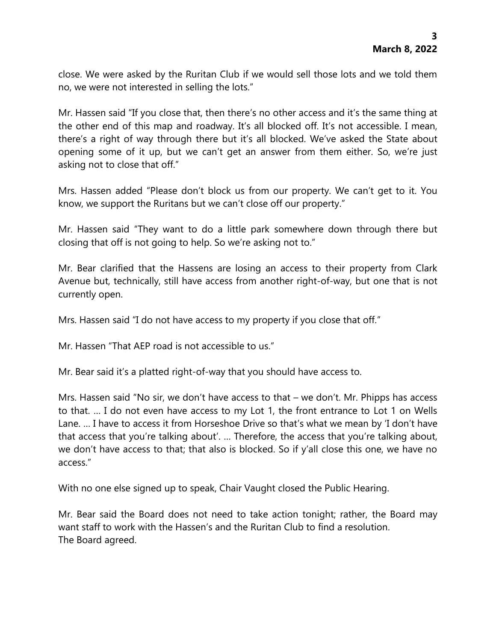close. We were asked by the Ruritan Club if we would sell those lots and we told them no, we were not interested in selling the lots."

Mr. Hassen said "If you close that, then there's no other access and it's the same thing at the other end of this map and roadway. It's all blocked off. It's not accessible. I mean, there's a right of way through there but it's all blocked. We've asked the State about opening some of it up, but we can't get an answer from them either. So, we're just asking not to close that off."

Mrs. Hassen added "Please don't block us from our property. We can't get to it. You know, we support the Ruritans but we can't close off our property."

Mr. Hassen said "They want to do a little park somewhere down through there but closing that off is not going to help. So we're asking not to."

Mr. Bear clarified that the Hassens are losing an access to their property from Clark Avenue but, technically, still have access from another right-of-way, but one that is not currently open.

Mrs. Hassen said "I do not have access to my property if you close that off."

Mr. Hassen "That AEP road is not accessible to us."

Mr. Bear said it's a platted right-of-way that you should have access to.

Mrs. Hassen said "No sir, we don't have access to that – we don't. Mr. Phipps has access to that. … I do not even have access to my Lot 1, the front entrance to Lot 1 on Wells Lane. … I have to access it from Horseshoe Drive so that's what we mean by 'I don't have that access that you're talking about'. … Therefore, the access that you're talking about, we don't have access to that; that also is blocked. So if y'all close this one, we have no access."

With no one else signed up to speak, Chair Vaught closed the Public Hearing.

Mr. Bear said the Board does not need to take action tonight; rather, the Board may want staff to work with the Hassen's and the Ruritan Club to find a resolution. The Board agreed.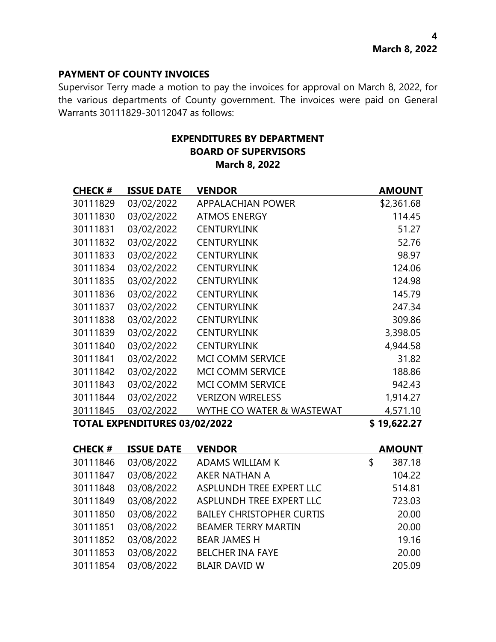### **PAYMENT OF COUNTY INVOICES**

Supervisor Terry made a motion to pay the invoices for approval on March 8, 2022, for the various departments of County government. The invoices were paid on General Warrants 30111829-30112047 as follows:

# **EXPENDITURES BY DEPARTMENT BOARD OF SUPERVISORS March 8, 2022**

| <b>CHECK#</b>                        | <b>ISSUE DATE</b> | <b>VENDOR</b>             | <b>AMOUNT</b> |
|--------------------------------------|-------------------|---------------------------|---------------|
| 30111829                             | 03/02/2022        | <b>APPALACHIAN POWER</b>  | \$2,361.68    |
| 30111830                             | 03/02/2022        | <b>ATMOS ENERGY</b>       | 114.45        |
| 30111831                             | 03/02/2022        | <b>CENTURYLINK</b>        | 51.27         |
| 30111832                             | 03/02/2022        | <b>CENTURYLINK</b>        | 52.76         |
| 30111833                             | 03/02/2022        | <b>CENTURYLINK</b>        | 98.97         |
| 30111834                             | 03/02/2022        | <b>CENTURYLINK</b>        | 124.06        |
| 30111835                             | 03/02/2022        | <b>CENTURYLINK</b>        | 124.98        |
| 30111836                             | 03/02/2022        | <b>CENTURYLINK</b>        | 145.79        |
| 30111837                             | 03/02/2022        | <b>CENTURYLINK</b>        | 247.34        |
| 30111838                             | 03/02/2022        | <b>CENTURYLINK</b>        | 309.86        |
| 30111839                             | 03/02/2022        | <b>CENTURYLINK</b>        | 3,398.05      |
| 30111840                             | 03/02/2022        | <b>CENTURYLINK</b>        | 4,944.58      |
| 30111841                             | 03/02/2022        | <b>MCI COMM SERVICE</b>   | 31.82         |
| 30111842                             | 03/02/2022        | <b>MCI COMM SERVICE</b>   | 188.86        |
| 30111843                             | 03/02/2022        | <b>MCI COMM SERVICE</b>   | 942.43        |
| 30111844                             | 03/02/2022        | <b>VERIZON WIRELESS</b>   | 1,914.27      |
| 30111845                             | 03/02/2022        | WYTHE CO WATER & WASTEWAT | 4,571.10      |
| <b>TOTAL EXPENDITURES 03/02/2022</b> |                   |                           | \$19,622.27   |

| <b>CHECK#</b> | <b>ISSUE DATE</b> | <b>VENDOR</b>                    | <b>AMOUNT</b> |
|---------------|-------------------|----------------------------------|---------------|
| 30111846      | 03/08/2022        | ADAMS WILLIAM K                  | \$<br>387.18  |
| 30111847      | 03/08/2022        | AKER NATHAN A                    | 104.22        |
| 30111848      | 03/08/2022        | ASPLUNDH TREE EXPERT LLC         | 514.81        |
| 30111849      | 03/08/2022        | ASPLUNDH TREE EXPERT LLC         | 723.03        |
| 30111850      | 03/08/2022        | <b>BAILEY CHRISTOPHER CURTIS</b> | 20.00         |
| 30111851      | 03/08/2022        | <b>BEAMER TERRY MARTIN</b>       | 20.00         |
| 30111852      | 03/08/2022        | <b>BEAR JAMES H</b>              | 19.16         |
| 30111853      | 03/08/2022        | <b>BELCHER INA FAYE</b>          | 20.00         |
| 30111854      | 03/08/2022        | <b>BLAIR DAVID W</b>             | 205.09        |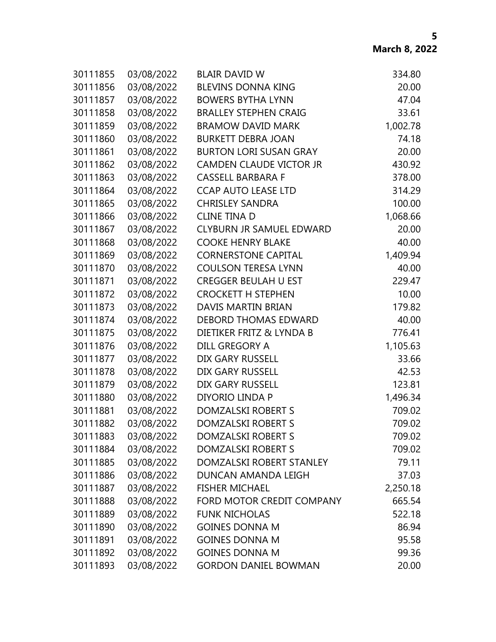| 30111855 | 03/08/2022 | <b>BLAIR DAVID W</b>            | 334.80   |
|----------|------------|---------------------------------|----------|
| 30111856 | 03/08/2022 | <b>BLEVINS DONNA KING</b>       | 20.00    |
| 30111857 | 03/08/2022 | <b>BOWERS BYTHA LYNN</b>        | 47.04    |
| 30111858 | 03/08/2022 | <b>BRALLEY STEPHEN CRAIG</b>    | 33.61    |
| 30111859 | 03/08/2022 | <b>BRAMOW DAVID MARK</b>        | 1,002.78 |
| 30111860 | 03/08/2022 | <b>BURKETT DEBRA JOAN</b>       | 74.18    |
| 30111861 | 03/08/2022 | <b>BURTON LORI SUSAN GRAY</b>   | 20.00    |
| 30111862 | 03/08/2022 | <b>CAMDEN CLAUDE VICTOR JR</b>  | 430.92   |
| 30111863 | 03/08/2022 | <b>CASSELL BARBARA F</b>        | 378.00   |
| 30111864 | 03/08/2022 | <b>CCAP AUTO LEASE LTD</b>      | 314.29   |
| 30111865 | 03/08/2022 | <b>CHRISLEY SANDRA</b>          | 100.00   |
| 30111866 | 03/08/2022 | <b>CLINE TINA D</b>             | 1,068.66 |
| 30111867 | 03/08/2022 | <b>CLYBURN JR SAMUEL EDWARD</b> | 20.00    |
| 30111868 | 03/08/2022 | <b>COOKE HENRY BLAKE</b>        | 40.00    |
| 30111869 | 03/08/2022 | <b>CORNERSTONE CAPITAL</b>      | 1,409.94 |
| 30111870 | 03/08/2022 | <b>COULSON TERESA LYNN</b>      | 40.00    |
| 30111871 | 03/08/2022 | <b>CREGGER BEULAH U EST</b>     | 229.47   |
| 30111872 | 03/08/2022 | <b>CROCKETT H STEPHEN</b>       | 10.00    |
| 30111873 | 03/08/2022 | DAVIS MARTIN BRIAN              | 179.82   |
| 30111874 | 03/08/2022 | DEBORD THOMAS EDWARD            | 40.00    |
| 30111875 | 03/08/2022 | DIETIKER FRITZ & LYNDA B        | 776.41   |
| 30111876 | 03/08/2022 | DILL GREGORY A                  | 1,105.63 |
| 30111877 | 03/08/2022 | DIX GARY RUSSELL                | 33.66    |
| 30111878 | 03/08/2022 | DIX GARY RUSSELL                | 42.53    |
| 30111879 | 03/08/2022 | <b>DIX GARY RUSSELL</b>         | 123.81   |
| 30111880 | 03/08/2022 | DIYORIO LINDA P                 | 1,496.34 |
| 30111881 | 03/08/2022 | DOMZALSKI ROBERT S              | 709.02   |
| 30111882 | 03/08/2022 | DOMZALSKI ROBERT S              | 709.02   |
| 30111883 | 03/08/2022 | DOMZALSKI ROBERT S              | 709.02   |
| 30111884 | 03/08/2022 | DOMZALSKI ROBERT S              | 709.02   |
| 30111885 | 03/08/2022 | DOMZALSKI ROBERT STANLEY        | 79.11    |
| 30111886 | 03/08/2022 | DUNCAN AMANDA LEIGH             | 37.03    |
| 30111887 | 03/08/2022 | <b>FISHER MICHAEL</b>           | 2,250.18 |
| 30111888 | 03/08/2022 | FORD MOTOR CREDIT COMPANY       | 665.54   |
| 30111889 | 03/08/2022 | <b>FUNK NICHOLAS</b>            | 522.18   |
| 30111890 | 03/08/2022 | <b>GOINES DONNA M</b>           | 86.94    |
| 30111891 | 03/08/2022 | <b>GOINES DONNA M</b>           | 95.58    |
| 30111892 | 03/08/2022 | <b>GOINES DONNA M</b>           | 99.36    |
| 30111893 | 03/08/2022 | <b>GORDON DANIEL BOWMAN</b>     | 20.00    |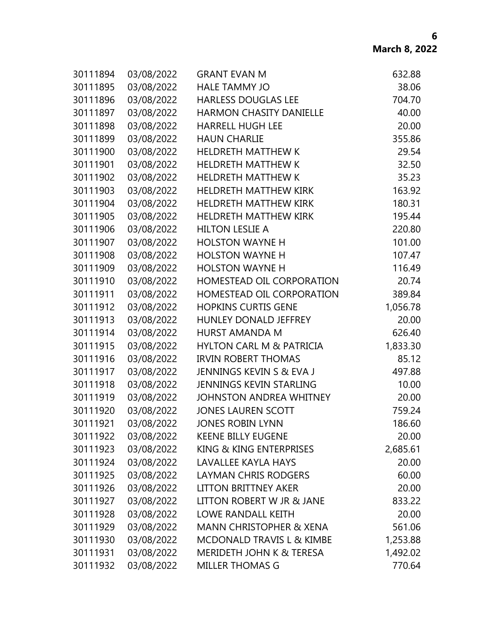| 30111894 | 03/08/2022 | <b>GRANT EVAN M</b>                 | 632.88   |
|----------|------------|-------------------------------------|----------|
| 30111895 | 03/08/2022 | <b>HALE TAMMY JO</b>                | 38.06    |
| 30111896 | 03/08/2022 | <b>HARLESS DOUGLAS LEE</b>          | 704.70   |
| 30111897 | 03/08/2022 | <b>HARMON CHASITY DANIELLE</b>      | 40.00    |
| 30111898 | 03/08/2022 | <b>HARRELL HUGH LEE</b>             | 20.00    |
| 30111899 | 03/08/2022 | <b>HAUN CHARLIE</b>                 | 355.86   |
| 30111900 | 03/08/2022 | <b>HELDRETH MATTHEW K</b>           | 29.54    |
| 30111901 | 03/08/2022 | <b>HELDRETH MATTHEW K</b>           | 32.50    |
| 30111902 | 03/08/2022 | <b>HELDRETH MATTHEW K</b>           | 35.23    |
| 30111903 | 03/08/2022 | <b>HELDRETH MATTHEW KIRK</b>        | 163.92   |
| 30111904 | 03/08/2022 | <b>HELDRETH MATTHEW KIRK</b>        | 180.31   |
| 30111905 | 03/08/2022 | <b>HELDRETH MATTHEW KIRK</b>        | 195.44   |
| 30111906 | 03/08/2022 | <b>HILTON LESLIE A</b>              | 220.80   |
| 30111907 | 03/08/2022 | <b>HOLSTON WAYNE H</b>              | 101.00   |
| 30111908 | 03/08/2022 | <b>HOLSTON WAYNE H</b>              | 107.47   |
| 30111909 | 03/08/2022 | <b>HOLSTON WAYNE H</b>              | 116.49   |
| 30111910 | 03/08/2022 | HOMESTEAD OIL CORPORATION           | 20.74    |
| 30111911 | 03/08/2022 | HOMESTEAD OIL CORPORATION           | 389.84   |
| 30111912 | 03/08/2022 | <b>HOPKINS CURTIS GENE</b>          | 1,056.78 |
| 30111913 | 03/08/2022 | <b>HUNLEY DONALD JEFFREY</b>        | 20.00    |
| 30111914 | 03/08/2022 | <b>HURST AMANDA M</b>               | 626.40   |
| 30111915 | 03/08/2022 | <b>HYLTON CARL M &amp; PATRICIA</b> | 1,833.30 |
| 30111916 | 03/08/2022 | <b>IRVIN ROBERT THOMAS</b>          | 85.12    |
| 30111917 | 03/08/2022 | JENNINGS KEVIN S & EVA J            | 497.88   |
| 30111918 | 03/08/2022 | <b>JENNINGS KEVIN STARLING</b>      | 10.00    |
| 30111919 | 03/08/2022 | <b>JOHNSTON ANDREA WHITNEY</b>      | 20.00    |
| 30111920 | 03/08/2022 | <b>JONES LAUREN SCOTT</b>           | 759.24   |
| 30111921 | 03/08/2022 | <b>JONES ROBIN LYNN</b>             | 186.60   |
| 30111922 | 03/08/2022 | <b>KEENE BILLY EUGENE</b>           | 20.00    |
| 30111923 | 03/08/2022 | KING & KING ENTERPRISES             | 2,685.61 |
| 30111924 | 03/08/2022 | <b>LAVALLEE KAYLA HAYS</b>          | 20.00    |
| 30111925 | 03/08/2022 | <b>LAYMAN CHRIS RODGERS</b>         | 60.00    |
| 30111926 | 03/08/2022 | <b>LITTON BRITTNEY AKER</b>         | 20.00    |
| 30111927 | 03/08/2022 | LITTON ROBERT W JR & JANE           | 833.22   |
| 30111928 | 03/08/2022 | LOWE RANDALL KEITH                  | 20.00    |
| 30111929 | 03/08/2022 | <b>MANN CHRISTOPHER &amp; XENA</b>  | 561.06   |
| 30111930 | 03/08/2022 | MCDONALD TRAVIS L & KIMBE           | 1,253.88 |
| 30111931 | 03/08/2022 | MERIDETH JOHN K & TERESA            | 1,492.02 |
| 30111932 | 03/08/2022 | MILLER THOMAS G                     | 770.64   |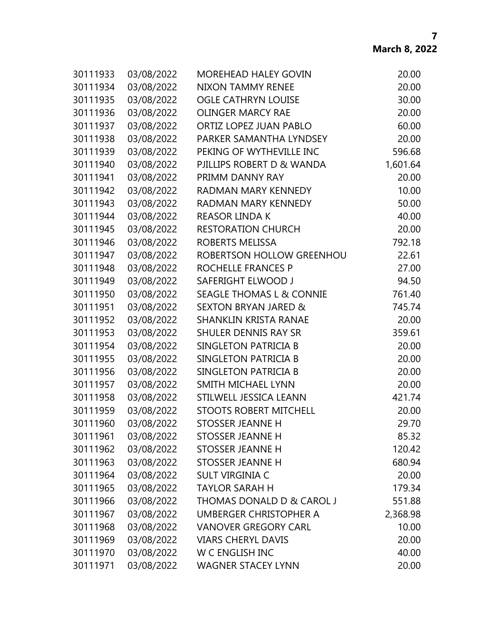| 30111933 | 03/08/2022 | <b>MOREHEAD HALEY GOVIN</b>          | 20.00    |
|----------|------------|--------------------------------------|----------|
| 30111934 | 03/08/2022 | <b>NIXON TAMMY RENEE</b>             | 20.00    |
| 30111935 | 03/08/2022 | <b>OGLE CATHRYN LOUISE</b>           | 30.00    |
| 30111936 | 03/08/2022 | <b>OLINGER MARCY RAE</b>             | 20.00    |
| 30111937 | 03/08/2022 | ORTIZ LOPEZ JUAN PABLO               | 60.00    |
| 30111938 | 03/08/2022 | PARKER SAMANTHA LYNDSEY              | 20.00    |
| 30111939 | 03/08/2022 | PEKING OF WYTHEVILLE INC             | 596.68   |
| 30111940 | 03/08/2022 | PJILLIPS ROBERT D & WANDA            | 1,601.64 |
| 30111941 | 03/08/2022 | PRIMM DANNY RAY                      | 20.00    |
| 30111942 | 03/08/2022 | RADMAN MARY KENNEDY                  | 10.00    |
| 30111943 | 03/08/2022 | RADMAN MARY KENNEDY                  | 50.00    |
| 30111944 | 03/08/2022 | <b>REASOR LINDA K</b>                | 40.00    |
| 30111945 | 03/08/2022 | <b>RESTORATION CHURCH</b>            | 20.00    |
| 30111946 | 03/08/2022 | ROBERTS MELISSA                      | 792.18   |
| 30111947 | 03/08/2022 | ROBERTSON HOLLOW GREENHOU            | 22.61    |
| 30111948 | 03/08/2022 | ROCHELLE FRANCES P                   | 27.00    |
| 30111949 | 03/08/2022 | SAFERIGHT ELWOOD J                   | 94.50    |
| 30111950 | 03/08/2022 | <b>SEAGLE THOMAS L &amp; CONNIE</b>  | 761.40   |
| 30111951 | 03/08/2022 | <b>SEXTON BRYAN JARED &amp;</b>      | 745.74   |
| 30111952 | 03/08/2022 | <b>SHANKLIN KRISTA RANAE</b>         | 20.00    |
| 30111953 | 03/08/2022 | <b>SHULER DENNIS RAY SR</b>          | 359.61   |
| 30111954 | 03/08/2022 | SINGLETON PATRICIA B                 | 20.00    |
| 30111955 | 03/08/2022 | SINGLETON PATRICIA B                 | 20.00    |
| 30111956 | 03/08/2022 | SINGLETON PATRICIA B                 | 20.00    |
| 30111957 | 03/08/2022 | SMITH MICHAEL LYNN                   | 20.00    |
| 30111958 | 03/08/2022 | STILWELL JESSICA LEANN               | 421.74   |
| 30111959 | 03/08/2022 | <b>STOOTS ROBERT MITCHELL</b>        | 20.00    |
| 30111960 | 03/08/2022 | <b>STOSSER JEANNE H</b>              | 29.70    |
| 30111961 | 03/08/2022 | <b>STOSSER JEANNE H</b>              | 85.32    |
| 30111962 | 03/08/2022 | STOSSER JEANNE H                     | 120.42   |
| 30111963 | 03/08/2022 | <b>STOSSER JEANNE H</b>              | 680.94   |
| 30111964 | 03/08/2022 | SULT VIRGINIA C                      | 20.00    |
| 30111965 | 03/08/2022 | <b>TAYLOR SARAH H</b>                | 179.34   |
| 30111966 | 03/08/2022 | <b>THOMAS DONALD D &amp; CAROL J</b> | 551.88   |
| 30111967 | 03/08/2022 | UMBERGER CHRISTOPHER A               | 2,368.98 |
| 30111968 | 03/08/2022 | <b>VANOVER GREGORY CARL</b>          | 10.00    |
| 30111969 | 03/08/2022 | <b>VIARS CHERYL DAVIS</b>            | 20.00    |
| 30111970 | 03/08/2022 | W C ENGLISH INC                      | 40.00    |
| 30111971 | 03/08/2022 | <b>WAGNER STACEY LYNN</b>            | 20.00    |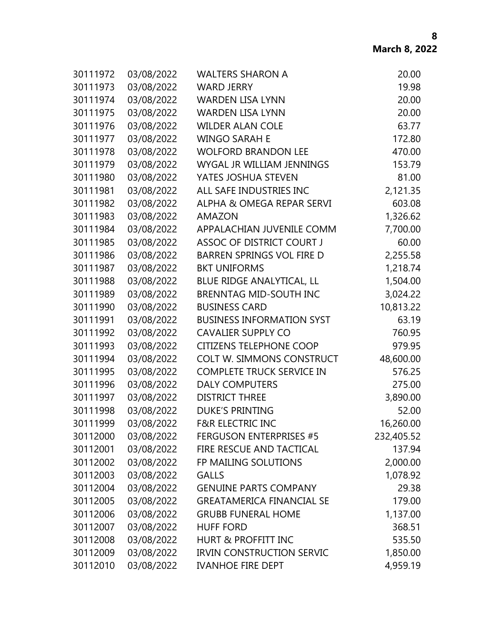| 30111972 | 03/08/2022 | <b>WALTERS SHARON A</b>          | 20.00      |
|----------|------------|----------------------------------|------------|
| 30111973 | 03/08/2022 | <b>WARD JERRY</b>                | 19.98      |
| 30111974 | 03/08/2022 | <b>WARDEN LISA LYNN</b>          | 20.00      |
| 30111975 | 03/08/2022 | <b>WARDEN LISA LYNN</b>          | 20.00      |
| 30111976 | 03/08/2022 | <b>WILDER ALAN COLE</b>          | 63.77      |
| 30111977 | 03/08/2022 | <b>WINGO SARAH E</b>             | 172.80     |
| 30111978 | 03/08/2022 | <b>WOLFORD BRANDON LEE</b>       | 470.00     |
| 30111979 | 03/08/2022 | WYGAL JR WILLIAM JENNINGS        | 153.79     |
| 30111980 | 03/08/2022 | YATES JOSHUA STEVEN              | 81.00      |
| 30111981 | 03/08/2022 | ALL SAFE INDUSTRIES INC          | 2,121.35   |
| 30111982 | 03/08/2022 | ALPHA & OMEGA REPAR SERVI        | 603.08     |
| 30111983 | 03/08/2022 | <b>AMAZON</b>                    | 1,326.62   |
| 30111984 | 03/08/2022 | APPALACHIAN JUVENILE COMM        | 7,700.00   |
| 30111985 | 03/08/2022 | ASSOC OF DISTRICT COURT J        | 60.00      |
| 30111986 | 03/08/2022 | <b>BARREN SPRINGS VOL FIRE D</b> | 2,255.58   |
| 30111987 | 03/08/2022 | <b>BKT UNIFORMS</b>              | 1,218.74   |
| 30111988 | 03/08/2022 | BLUE RIDGE ANALYTICAL, LL        | 1,504.00   |
| 30111989 | 03/08/2022 | <b>BRENNTAG MID-SOUTH INC</b>    | 3,024.22   |
| 30111990 | 03/08/2022 | <b>BUSINESS CARD</b>             | 10,813.22  |
| 30111991 | 03/08/2022 | <b>BUSINESS INFORMATION SYST</b> | 63.19      |
| 30111992 | 03/08/2022 | <b>CAVALIER SUPPLY CO</b>        | 760.95     |
| 30111993 | 03/08/2022 | <b>CITIZENS TELEPHONE COOP</b>   | 979.95     |
| 30111994 | 03/08/2022 | <b>COLT W. SIMMONS CONSTRUCT</b> | 48,600.00  |
| 30111995 | 03/08/2022 | <b>COMPLETE TRUCK SERVICE IN</b> | 576.25     |
| 30111996 | 03/08/2022 | <b>DALY COMPUTERS</b>            | 275.00     |
| 30111997 | 03/08/2022 | <b>DISTRICT THREE</b>            | 3,890.00   |
| 30111998 | 03/08/2022 | <b>DUKE'S PRINTING</b>           | 52.00      |
| 30111999 | 03/08/2022 | <b>F&amp;R ELECTRIC INC</b>      | 16,260.00  |
| 30112000 | 03/08/2022 | <b>FERGUSON ENTERPRISES #5</b>   | 232,405.52 |
| 30112001 | 03/08/2022 | FIRE RESCUE AND TACTICAL         | 137.94     |
| 30112002 | 03/08/2022 | FP MAILING SOLUTIONS             | 2,000.00   |
| 30112003 | 03/08/2022 | <b>GALLS</b>                     | 1,078.92   |
| 30112004 | 03/08/2022 | <b>GENUINE PARTS COMPANY</b>     | 29.38      |
| 30112005 | 03/08/2022 | <b>GREATAMERICA FINANCIAL SE</b> | 179.00     |
| 30112006 | 03/08/2022 | <b>GRUBB FUNERAL HOME</b>        | 1,137.00   |
| 30112007 | 03/08/2022 | <b>HUFF FORD</b>                 | 368.51     |
| 30112008 | 03/08/2022 | <b>HURT &amp; PROFFITT INC</b>   | 535.50     |
| 30112009 | 03/08/2022 | <b>IRVIN CONSTRUCTION SERVIC</b> | 1,850.00   |
| 30112010 | 03/08/2022 | <b>IVANHOE FIRE DEPT</b>         | 4,959.19   |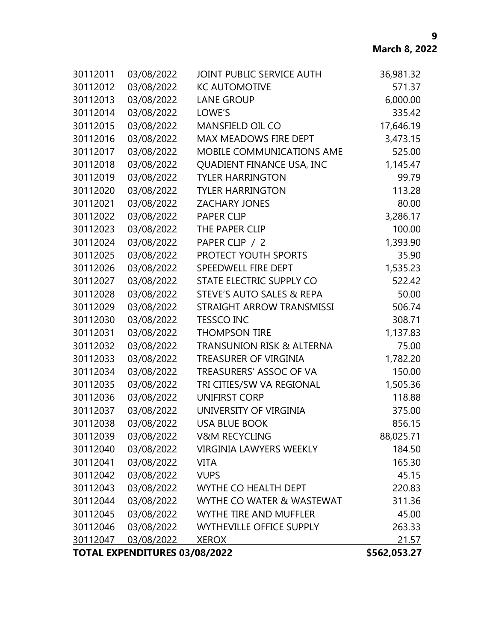| 30112011                             | 03/08/2022 | JOINT PUBLIC SERVICE AUTH            | 36,981.32 |
|--------------------------------------|------------|--------------------------------------|-----------|
| 30112012                             | 03/08/2022 | <b>KC AUTOMOTIVE</b>                 | 571.37    |
| 30112013                             | 03/08/2022 | <b>LANE GROUP</b>                    | 6,000.00  |
| 30112014                             | 03/08/2022 | LOWE'S                               | 335.42    |
| 30112015                             | 03/08/2022 | <b>MANSFIELD OIL CO</b>              | 17,646.19 |
| 30112016                             | 03/08/2022 | MAX MEADOWS FIRE DEPT                | 3,473.15  |
| 30112017                             | 03/08/2022 | MOBILE COMMUNICATIONS AME            | 525.00    |
| 30112018                             | 03/08/2022 | <b>QUADIENT FINANCE USA, INC</b>     | 1,145.47  |
| 30112019                             | 03/08/2022 | <b>TYLER HARRINGTON</b>              | 99.79     |
| 30112020                             | 03/08/2022 | <b>TYLER HARRINGTON</b>              | 113.28    |
| 30112021                             | 03/08/2022 | <b>ZACHARY JONES</b>                 | 80.00     |
| 30112022                             | 03/08/2022 | <b>PAPER CLIP</b>                    | 3,286.17  |
| 30112023                             | 03/08/2022 | THE PAPER CLIP                       | 100.00    |
| 30112024                             | 03/08/2022 | PAPER CLIP / 2                       | 1,393.90  |
| 30112025                             | 03/08/2022 | PROTECT YOUTH SPORTS                 | 35.90     |
| 30112026                             | 03/08/2022 | SPEEDWELL FIRE DEPT                  | 1,535.23  |
| 30112027                             | 03/08/2022 | STATE ELECTRIC SUPPLY CO             | 522.42    |
| 30112028                             | 03/08/2022 | STEVE'S AUTO SALES & REPA            | 50.00     |
| 30112029                             | 03/08/2022 | STRAIGHT ARROW TRANSMISSI            | 506.74    |
| 30112030                             | 03/08/2022 | <b>TESSCO INC</b>                    | 308.71    |
| 30112031                             | 03/08/2022 | <b>THOMPSON TIRE</b>                 | 1,137.83  |
| 30112032                             | 03/08/2022 | <b>TRANSUNION RISK &amp; ALTERNA</b> | 75.00     |
| 30112033                             | 03/08/2022 | TREASURER OF VIRGINIA                | 1,782.20  |
| 30112034                             | 03/08/2022 | TREASURERS' ASSOC OF VA              | 150.00    |
| 30112035                             | 03/08/2022 | TRI CITIES/SW VA REGIONAL            | 1,505.36  |
| 30112036                             | 03/08/2022 | <b>UNIFIRST CORP</b>                 | 118.88    |
| 30112037                             | 03/08/2022 | UNIVERSITY OF VIRGINIA               | 375.00    |
| 30112038                             | 03/08/2022 | <b>USA BLUE BOOK</b>                 | 856.15    |
| 30112039                             | 03/08/2022 | <b>V&amp;M RECYCLING</b>             | 88,025.71 |
| 30112040                             | 03/08/2022 | <b>VIRGINIA LAWYERS WEEKLY</b>       | 184.50    |
| 30112041                             | 03/08/2022 | <b>VITA</b>                          | 165.30    |
| 30112042                             | 03/08/2022 | <b>VUPS</b>                          | 45.15     |
| 30112043                             | 03/08/2022 | WYTHE CO HEALTH DEPT                 | 220.83    |
| 30112044                             | 03/08/2022 | WYTHE CO WATER & WASTEWAT            | 311.36    |
| 30112045                             | 03/08/2022 | WYTHE TIRE AND MUFFLER               | 45.00     |
| 30112046                             | 03/08/2022 | <b>WYTHEVILLE OFFICE SUPPLY</b>      | 263.33    |
| 30112047                             | 03/08/2022 | <b>XEROX</b>                         | 21.57     |
| <b>TOTAL EXPENDITURES 03/08/2022</b> |            | \$562,053.27                         |           |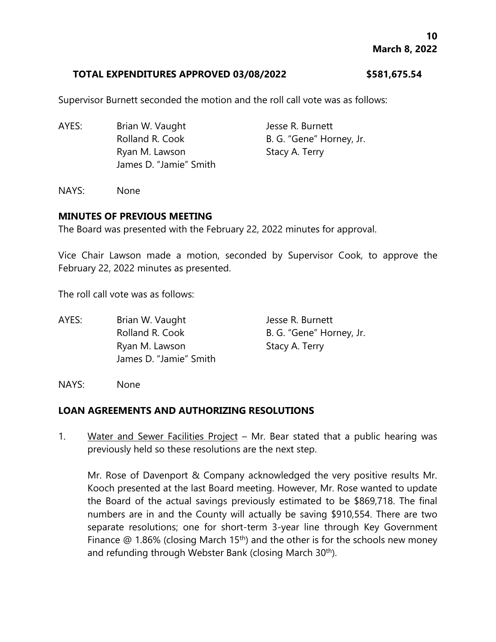#### **TOTAL EXPENDITURES APPROVED 03/08/2022 \$581,675.54**

Supervisor Burnett seconded the motion and the roll call vote was as follows:

- AYES: Brian W. Vaught Jesse R. Burnett Rolland R. Cook B. G. "Gene" Horney, Jr. Ryan M. Lawson Stacy A. Terry James D. "Jamie" Smith
- NAYS: None

### **MINUTES OF PREVIOUS MEETING**

The Board was presented with the February 22, 2022 minutes for approval.

Vice Chair Lawson made a motion, seconded by Supervisor Cook, to approve the February 22, 2022 minutes as presented.

The roll call vote was as follows:

- AYES: Brian W. Vaught Jesse R. Burnett Rolland R. Cook B. G. "Gene" Horney, Jr. Ryan M. Lawson Stacy A. Terry James D. "Jamie" Smith
- NAYS: None

# **LOAN AGREEMENTS AND AUTHORIZING RESOLUTIONS**

1. Water and Sewer Facilities Project – Mr. Bear stated that a public hearing was previously held so these resolutions are the next step.

Mr. Rose of Davenport & Company acknowledged the very positive results Mr. Kooch presented at the last Board meeting. However, Mr. Rose wanted to update the Board of the actual savings previously estimated to be \$869,718. The final numbers are in and the County will actually be saving \$910,554. There are two separate resolutions; one for short-term 3-year line through Key Government Finance  $\textcircled{a}$  1.86% (closing March 15<sup>th</sup>) and the other is for the schools new money and refunding through Webster Bank (closing March 30<sup>th</sup>).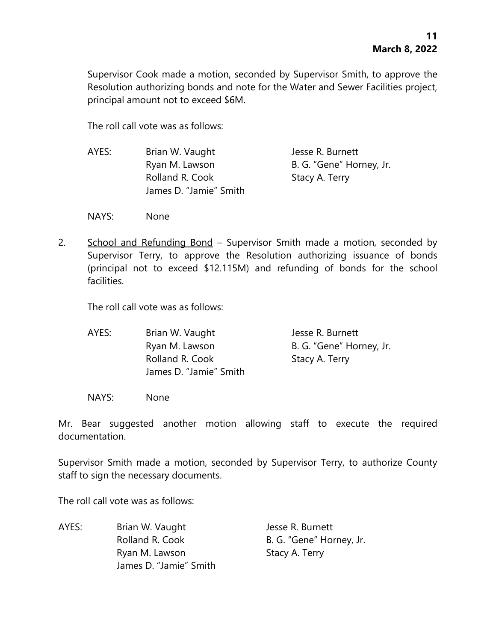Supervisor Cook made a motion, seconded by Supervisor Smith, to approve the Resolution authorizing bonds and note for the Water and Sewer Facilities project, principal amount not to exceed \$6M.

The roll call vote was as follows:

AYES: Brian W. Vaught Jesse R. Burnett Ryan M. Lawson B. G. "Gene" Horney, Jr. Rolland R. Cook Stacy A. Terry James D. "Jamie" Smith

NAYS: None

2. School and Refunding Bond – Supervisor Smith made a motion, seconded by Supervisor Terry, to approve the Resolution authorizing issuance of bonds (principal not to exceed \$12.115M) and refunding of bonds for the school facilities.

The roll call vote was as follows:

AYES: Brian W. Vaught Jesse R. Burnett Ryan M. Lawson B. G. "Gene" Horney, Jr. Rolland R. Cook Stacy A. Terry James D. "Jamie" Smith

NAYS: None

Mr. Bear suggested another motion allowing staff to execute the required documentation.

Supervisor Smith made a motion, seconded by Supervisor Terry, to authorize County staff to sign the necessary documents.

The roll call vote was as follows:

AYES: Brian W. Vaught Jesse R. Burnett Rolland R. Cook B. G. "Gene" Horney, Jr. Ryan M. Lawson Stacy A. Terry James D. "Jamie" Smith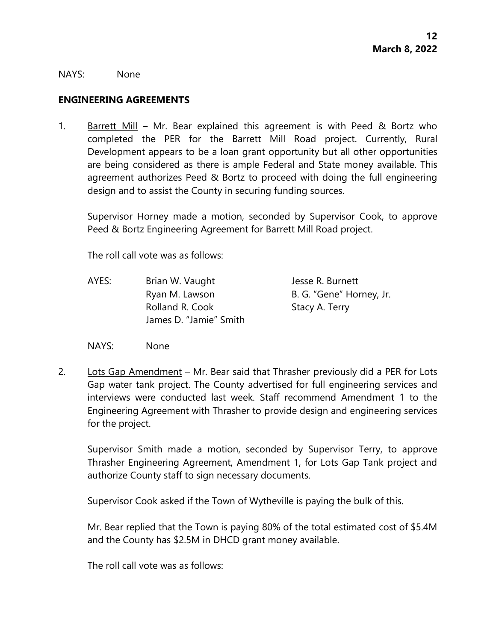NAYS: None

#### **ENGINEERING AGREEMENTS**

1. Barrett Mill – Mr. Bear explained this agreement is with Peed & Bortz who completed the PER for the Barrett Mill Road project. Currently, Rural Development appears to be a loan grant opportunity but all other opportunities are being considered as there is ample Federal and State money available. This agreement authorizes Peed & Bortz to proceed with doing the full engineering design and to assist the County in securing funding sources.

Supervisor Horney made a motion, seconded by Supervisor Cook, to approve Peed & Bortz Engineering Agreement for Barrett Mill Road project.

The roll call vote was as follows:

- AYES: Brian W. Vaught Jesse R. Burnett Ryan M. Lawson B. G. "Gene" Horney, Jr. Rolland R. Cook Stacy A. Terry James D. "Jamie" Smith
- NAYS: None
- 2. Lots Gap Amendment Mr. Bear said that Thrasher previously did a PER for Lots Gap water tank project. The County advertised for full engineering services and interviews were conducted last week. Staff recommend Amendment 1 to the Engineering Agreement with Thrasher to provide design and engineering services for the project.

Supervisor Smith made a motion, seconded by Supervisor Terry, to approve Thrasher Engineering Agreement, Amendment 1, for Lots Gap Tank project and authorize County staff to sign necessary documents.

Supervisor Cook asked if the Town of Wytheville is paying the bulk of this.

Mr. Bear replied that the Town is paying 80% of the total estimated cost of \$5.4M and the County has \$2.5M in DHCD grant money available.

The roll call vote was as follows: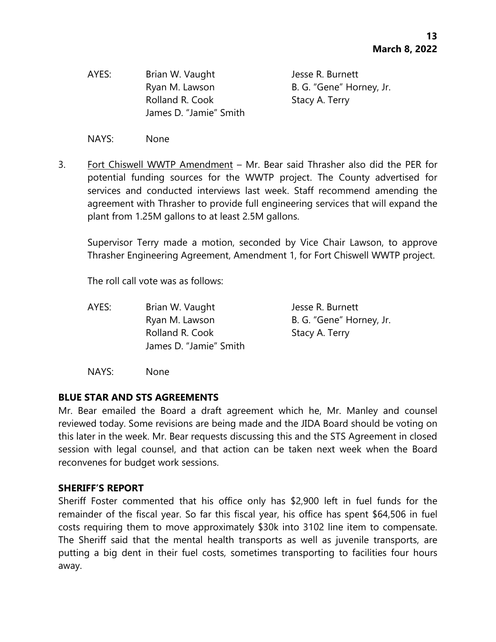AYES: Brian W. Vaught Jesse R. Burnett Rolland R. Cook Stacy A. Terry James D. "Jamie" Smith

Ryan M. Lawson B. G. "Gene" Horney, Jr.

NAYS: None

3. Fort Chiswell WWTP Amendment – Mr. Bear said Thrasher also did the PER for potential funding sources for the WWTP project. The County advertised for services and conducted interviews last week. Staff recommend amending the agreement with Thrasher to provide full engineering services that will expand the plant from 1.25M gallons to at least 2.5M gallons.

Supervisor Terry made a motion, seconded by Vice Chair Lawson, to approve Thrasher Engineering Agreement, Amendment 1, for Fort Chiswell WWTP project.

The roll call vote was as follows:

AYES: Brian W. Vaught Jesse R. Burnett Ryan M. Lawson B. G. "Gene" Horney, Jr. Rolland R. Cook Stacy A. Terry James D. "Jamie" Smith

NAYS: None

#### **BLUE STAR AND STS AGREEMENTS**

Mr. Bear emailed the Board a draft agreement which he, Mr. Manley and counsel reviewed today. Some revisions are being made and the JIDA Board should be voting on this later in the week. Mr. Bear requests discussing this and the STS Agreement in closed session with legal counsel, and that action can be taken next week when the Board reconvenes for budget work sessions.

#### **SHERIFF'S REPORT**

Sheriff Foster commented that his office only has \$2,900 left in fuel funds for the remainder of the fiscal year. So far this fiscal year, his office has spent \$64,506 in fuel costs requiring them to move approximately \$30k into 3102 line item to compensate. The Sheriff said that the mental health transports as well as juvenile transports, are putting a big dent in their fuel costs, sometimes transporting to facilities four hours away.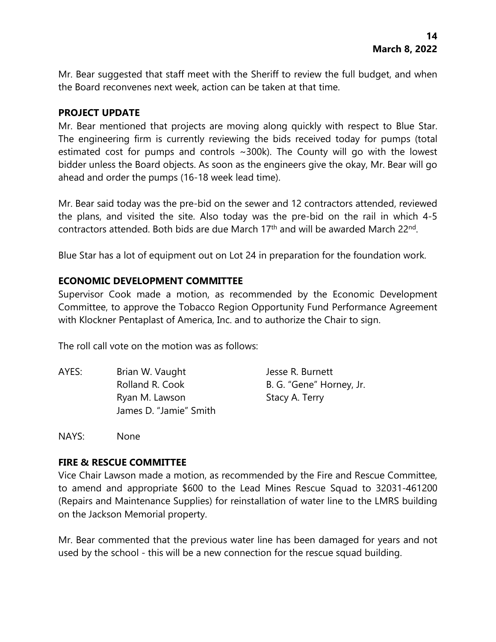Mr. Bear suggested that staff meet with the Sheriff to review the full budget, and when the Board reconvenes next week, action can be taken at that time.

# **PROJECT UPDATE**

Mr. Bear mentioned that projects are moving along quickly with respect to Blue Star. The engineering firm is currently reviewing the bids received today for pumps (total estimated cost for pumps and controls ~300k). The County will go with the lowest bidder unless the Board objects. As soon as the engineers give the okay, Mr. Bear will go ahead and order the pumps (16-18 week lead time).

Mr. Bear said today was the pre-bid on the sewer and 12 contractors attended, reviewed the plans, and visited the site. Also today was the pre-bid on the rail in which 4-5 contractors attended. Both bids are due March 17<sup>th</sup> and will be awarded March 22<sup>nd</sup>.

Blue Star has a lot of equipment out on Lot 24 in preparation for the foundation work.

# **ECONOMIC DEVELOPMENT COMMITTEE**

Supervisor Cook made a motion, as recommended by the Economic Development Committee, to approve the Tobacco Region Opportunity Fund Performance Agreement with Klockner Pentaplast of America, Inc. and to authorize the Chair to sign.

The roll call vote on the motion was as follows:

AYES: Brian W. Vaught Jesse R. Burnett Rolland R. Cook B. G. "Gene" Horney, Jr. Ryan M. Lawson Stacy A. Terry James D. "Jamie" Smith

NAYS: None

#### **FIRE & RESCUE COMMITTEE**

Vice Chair Lawson made a motion, as recommended by the Fire and Rescue Committee, to amend and appropriate \$600 to the Lead Mines Rescue Squad to 32031-461200 (Repairs and Maintenance Supplies) for reinstallation of water line to the LMRS building on the Jackson Memorial property.

Mr. Bear commented that the previous water line has been damaged for years and not used by the school - this will be a new connection for the rescue squad building.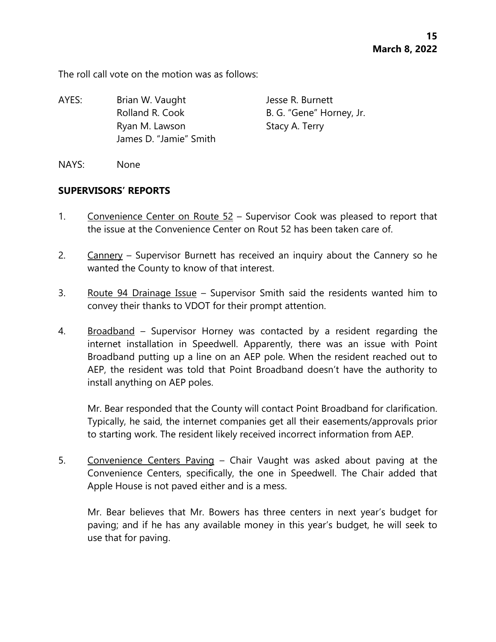The roll call vote on the motion was as follows:

AYES: Brian W. Vaught Jesse R. Burnett Rolland R. Cook B. G. "Gene" Horney, Jr. Ryan M. Lawson Stacy A. Terry James D. "Jamie" Smith

NAYS: None

### **SUPERVISORS' REPORTS**

- 1. Convenience Center on Route 52 Supervisor Cook was pleased to report that the issue at the Convenience Center on Rout 52 has been taken care of.
- 2. Cannery Supervisor Burnett has received an inquiry about the Cannery so he wanted the County to know of that interest.
- 3. Route 94 Drainage Issue Supervisor Smith said the residents wanted him to convey their thanks to VDOT for their prompt attention.
- 4. Broadband Supervisor Horney was contacted by a resident regarding the internet installation in Speedwell. Apparently, there was an issue with Point Broadband putting up a line on an AEP pole. When the resident reached out to AEP, the resident was told that Point Broadband doesn't have the authority to install anything on AEP poles.

Mr. Bear responded that the County will contact Point Broadband for clarification. Typically, he said, the internet companies get all their easements/approvals prior to starting work. The resident likely received incorrect information from AEP.

5. Convenience Centers Paving – Chair Vaught was asked about paving at the Convenience Centers, specifically, the one in Speedwell. The Chair added that Apple House is not paved either and is a mess.

Mr. Bear believes that Mr. Bowers has three centers in next year's budget for paving; and if he has any available money in this year's budget, he will seek to use that for paving.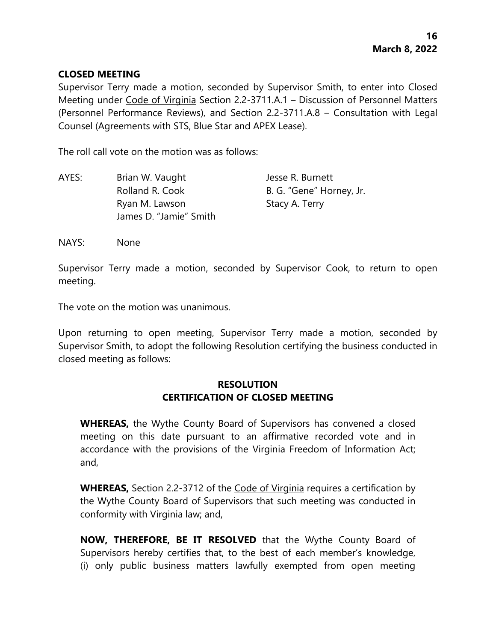### **CLOSED MEETING**

Supervisor Terry made a motion, seconded by Supervisor Smith, to enter into Closed Meeting under Code of Virginia Section 2.2-3711.A.1 – Discussion of Personnel Matters (Personnel Performance Reviews), and Section 2.2-3711.A.8 – Consultation with Legal Counsel (Agreements with STS, Blue Star and APEX Lease).

The roll call vote on the motion was as follows:

| AYES: | Brian W. Vaught        | Jesse R. Burnett         |
|-------|------------------------|--------------------------|
|       | Rolland R. Cook        | B. G. "Gene" Horney, Jr. |
|       | Ryan M. Lawson         | Stacy A. Terry           |
|       | James D. "Jamie" Smith |                          |

NAYS: None

Supervisor Terry made a motion, seconded by Supervisor Cook, to return to open meeting.

The vote on the motion was unanimous.

Upon returning to open meeting, Supervisor Terry made a motion, seconded by Supervisor Smith, to adopt the following Resolution certifying the business conducted in closed meeting as follows:

# **RESOLUTION CERTIFICATION OF CLOSED MEETING**

**WHEREAS,** the Wythe County Board of Supervisors has convened a closed meeting on this date pursuant to an affirmative recorded vote and in accordance with the provisions of the Virginia Freedom of Information Act; and,

**WHEREAS,** Section 2.2-3712 of the Code of Virginia requires a certification by the Wythe County Board of Supervisors that such meeting was conducted in conformity with Virginia law; and,

**NOW, THEREFORE, BE IT RESOLVED** that the Wythe County Board of Supervisors hereby certifies that, to the best of each member's knowledge, (i) only public business matters lawfully exempted from open meeting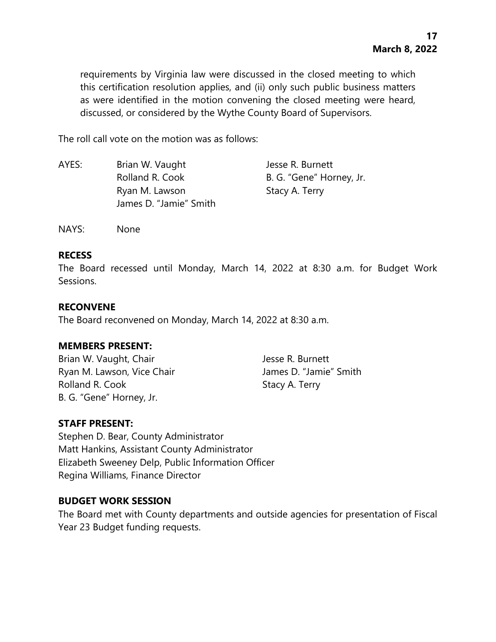requirements by Virginia law were discussed in the closed meeting to which this certification resolution applies, and (ii) only such public business matters as were identified in the motion convening the closed meeting were heard, discussed, or considered by the Wythe County Board of Supervisors.

The roll call vote on the motion was as follows:

| AYES: | Brian W. Vaught        | Jesse R. Burnett         |
|-------|------------------------|--------------------------|
|       | Rolland R. Cook        | B. G. "Gene" Horney, Jr. |
|       | Ryan M. Lawson         | Stacy A. Terry           |
|       | James D. "Jamie" Smith |                          |

NAYS: None

#### **RECESS**

The Board recessed until Monday, March 14, 2022 at 8:30 a.m. for Budget Work Sessions.

# **RECONVENE**

The Board reconvened on Monday, March 14, 2022 at 8:30 a.m.

# **MEMBERS PRESENT:**

Brian W. Vaught, Chair **Jesse R. Burnett** Ryan M. Lawson, Vice Chair **James D. "Jamie"** Smith Rolland R. Cook Stacy A. Terry B. G. "Gene" Horney, Jr.

# **STAFF PRESENT:**

Stephen D. Bear, County Administrator Matt Hankins, Assistant County Administrator Elizabeth Sweeney Delp, Public Information Officer Regina Williams, Finance Director

# **BUDGET WORK SESSION**

The Board met with County departments and outside agencies for presentation of Fiscal Year 23 Budget funding requests.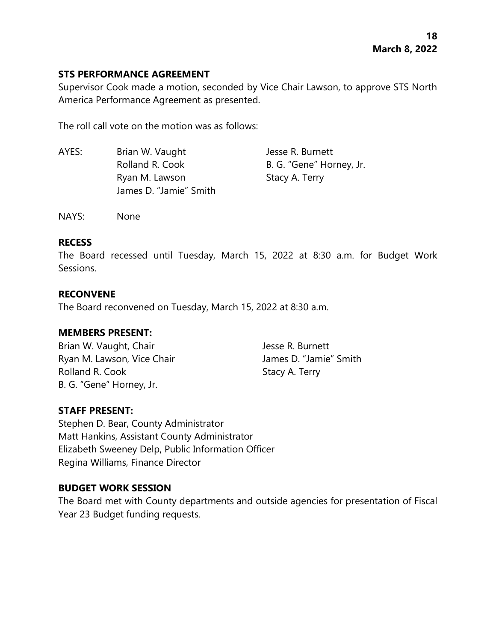# **STS PERFORMANCE AGREEMENT**

Supervisor Cook made a motion, seconded by Vice Chair Lawson, to approve STS North America Performance Agreement as presented.

The roll call vote on the motion was as follows:

| AYES: | Brian W. Vaught        | Jesse R. Burnett         |
|-------|------------------------|--------------------------|
|       | Rolland R. Cook        | B. G. "Gene" Horney, Jr. |
|       | Ryan M. Lawson         | Stacy A. Terry           |
|       | James D. "Jamie" Smith |                          |

NAYS: None

# **RECESS**

The Board recessed until Tuesday, March 15, 2022 at 8:30 a.m. for Budget Work Sessions.

# **RECONVENE**

The Board reconvened on Tuesday, March 15, 2022 at 8:30 a.m.

# **MEMBERS PRESENT:**

Brian W. Vaught, Chair **Jesse R. Burnett** Ryan M. Lawson, Vice Chair **James D. "Jamie"** Smith Rolland R. Cook Stacy A. Terry B. G. "Gene" Horney, Jr.

# **STAFF PRESENT:**

Stephen D. Bear, County Administrator Matt Hankins, Assistant County Administrator Elizabeth Sweeney Delp, Public Information Officer Regina Williams, Finance Director

# **BUDGET WORK SESSION**

The Board met with County departments and outside agencies for presentation of Fiscal Year 23 Budget funding requests.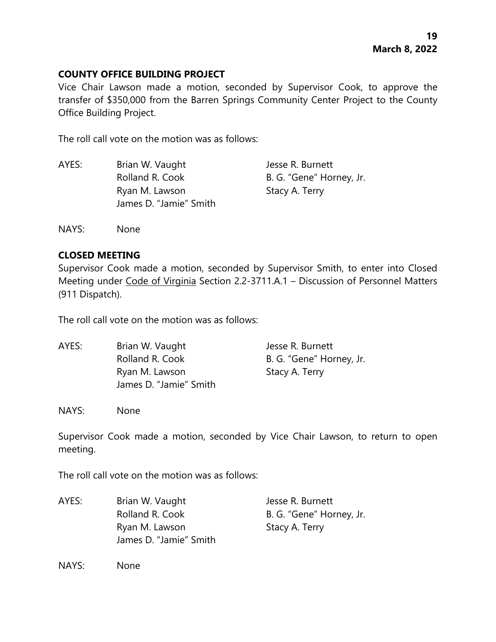# **COUNTY OFFICE BUILDING PROJECT**

Vice Chair Lawson made a motion, seconded by Supervisor Cook, to approve the transfer of \$350,000 from the Barren Springs Community Center Project to the County Office Building Project.

The roll call vote on the motion was as follows:

| AYES: | Brian W. Vaught        | Jesse R. Burnett         |
|-------|------------------------|--------------------------|
|       | Rolland R. Cook        | B. G. "Gene" Horney, Jr. |
|       | Ryan M. Lawson         | Stacy A. Terry           |
|       | James D. "Jamie" Smith |                          |

NAYS: None

# **CLOSED MEETING**

Supervisor Cook made a motion, seconded by Supervisor Smith, to enter into Closed Meeting under Code of Virginia Section 2.2-3711.A.1 – Discussion of Personnel Matters (911 Dispatch).

The roll call vote on the motion was as follows:

| AYES: | Brian W. Vaught        | Jesse R. Burnett         |
|-------|------------------------|--------------------------|
|       | Rolland R. Cook        | B. G. "Gene" Horney, Jr. |
|       | Ryan M. Lawson         | Stacy A. Terry           |
|       | James D. "Jamie" Smith |                          |

NAYS: None

Supervisor Cook made a motion, seconded by Vice Chair Lawson, to return to open meeting.

The roll call vote on the motion was as follows:

AYES: Brian W. Vaught Jesse R. Burnett Rolland R. Cook B. G. "Gene" Horney, Jr. Ryan M. Lawson Stacy A. Terry James D. "Jamie" Smith

NAYS: None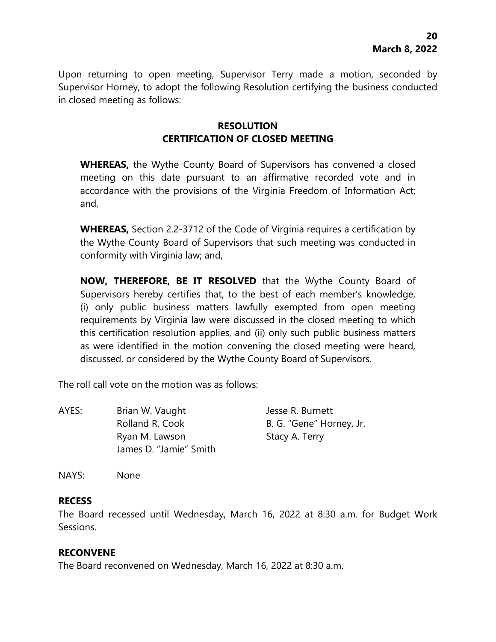Upon returning to open meeting, Supervisor Terry made a motion, seconded by Supervisor Horney, to adopt the following Resolution certifying the business conducted in closed meeting as follows:

# **RESOLUTION CERTIFICATION OF CLOSED MEETING**

**WHEREAS,** the Wythe County Board of Supervisors has convened a closed meeting on this date pursuant to an affirmative recorded vote and in accordance with the provisions of the Virginia Freedom of Information Act; and,

**WHEREAS,** Section 2.2-3712 of the Code of Virginia requires a certification by the Wythe County Board of Supervisors that such meeting was conducted in conformity with Virginia law; and,

**NOW, THEREFORE, BE IT RESOLVED** that the Wythe County Board of Supervisors hereby certifies that, to the best of each member's knowledge, (i) only public business matters lawfully exempted from open meeting requirements by Virginia law were discussed in the closed meeting to which this certification resolution applies, and (ii) only such public business matters as were identified in the motion convening the closed meeting were heard, discussed, or considered by the Wythe County Board of Supervisors.

The roll call vote on the motion was as follows:

| AYES: | Brian W. Vaught                          | Jesse R. Burnett         |
|-------|------------------------------------------|--------------------------|
|       | Rolland R. Cook                          | B. G. "Gene" Horney, Jr. |
|       | Ryan M. Lawson<br>James D. "Jamie" Smith | Stacy A. Terry           |

NAYS: None

#### **RECESS**

The Board recessed until Wednesday, March 16, 2022 at 8:30 a.m. for Budget Work Sessions.

#### **RECONVENE**

The Board reconvened on Wednesday, March 16, 2022 at 8:30 a.m.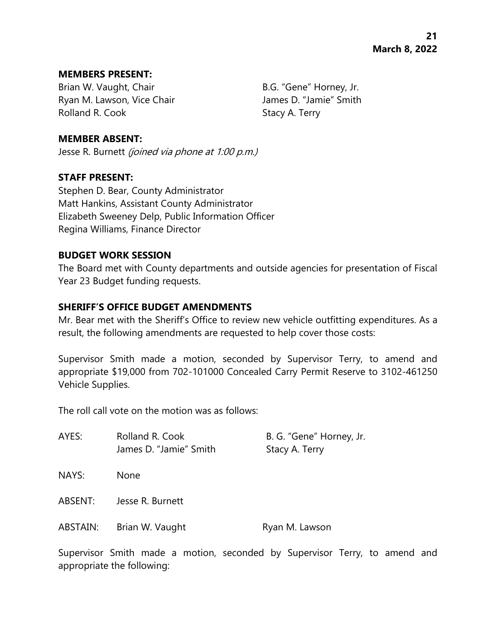#### **MEMBERS PRESENT:**

Brian W. Vaught, Chair B.G. "Gene" Horney, Jr. Ryan M. Lawson, Vice Chair **James D. "Jamie"** Smith Rolland R. Cook Stacy A. Terry

### **MEMBER ABSENT:**

Jesse R. Burnett (joined via phone at 1:00 p.m.)

### **STAFF PRESENT:**

Stephen D. Bear, County Administrator Matt Hankins, Assistant County Administrator Elizabeth Sweeney Delp, Public Information Officer Regina Williams, Finance Director

### **BUDGET WORK SESSION**

The Board met with County departments and outside agencies for presentation of Fiscal Year 23 Budget funding requests.

### **SHERIFF'S OFFICE BUDGET AMENDMENTS**

Mr. Bear met with the Sheriff's Office to review new vehicle outfitting expenditures. As a result, the following amendments are requested to help cover those costs:

Supervisor Smith made a motion, seconded by Supervisor Terry, to amend and appropriate \$19,000 from 702-101000 Concealed Carry Permit Reserve to 3102-461250 Vehicle Supplies.

The roll call vote on the motion was as follows:

| AYES:    | Rolland R. Cook<br>James D. "Jamie" Smith | B. G. "Gene" Horney, Jr.<br>Stacy A. Terry |
|----------|-------------------------------------------|--------------------------------------------|
| NAYS:    | <b>None</b>                               |                                            |
| ABSENT:  | Jesse R. Burnett                          |                                            |
| ABSTAIN: | Brian W. Vaught                           | Ryan M. Lawson                             |

Supervisor Smith made a motion, seconded by Supervisor Terry, to amend and appropriate the following: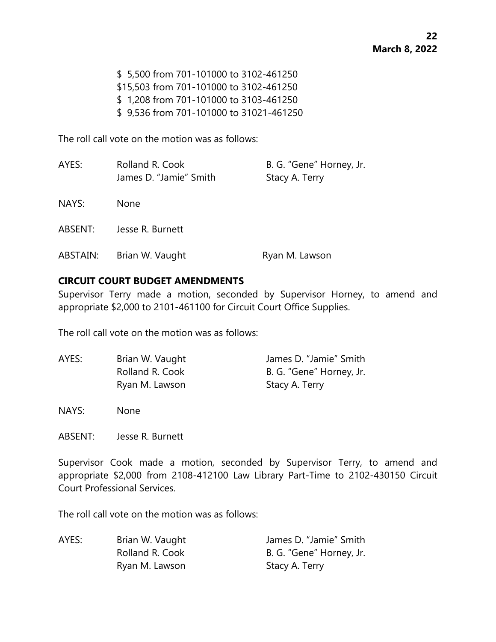\$ 5,500 from 701-101000 to 3102-461250 \$15,503 from 701-101000 to 3102-461250 \$ 1,208 from 701-101000 to 3103-461250 \$ 9,536 from 701-101000 to 31021-461250

The roll call vote on the motion was as follows:

| AYES:    | Rolland R. Cook<br>James D. "Jamie" Smith | B. G. "Gene" Horney, Jr.<br>Stacy A. Terry |
|----------|-------------------------------------------|--------------------------------------------|
| NAYS:    | None                                      |                                            |
| ABSENT:  | Jesse R. Burnett                          |                                            |
| ABSTAIN: | Brian W. Vaught                           | Ryan M. Lawson                             |

### **CIRCUIT COURT BUDGET AMENDMENTS**

Supervisor Terry made a motion, seconded by Supervisor Horney, to amend and appropriate \$2,000 to 2101-461100 for Circuit Court Office Supplies.

The roll call vote on the motion was as follows:

| AYES: | Brian W. Vaught | James D. "Jamie" Smith   |
|-------|-----------------|--------------------------|
|       | Rolland R. Cook | B. G. "Gene" Horney, Jr. |
|       | Ryan M. Lawson  | Stacy A. Terry           |

NAYS: None

ABSENT: Jesse R. Burnett

Supervisor Cook made a motion, seconded by Supervisor Terry, to amend and appropriate \$2,000 from 2108-412100 Law Library Part-Time to 2102-430150 Circuit Court Professional Services.

The roll call vote on the motion was as follows:

| AYES: | Brian W. Vaught | James D. "Jamie" Smith   |
|-------|-----------------|--------------------------|
|       | Rolland R. Cook | B. G. "Gene" Horney, Jr. |
|       | Ryan M. Lawson  | Stacy A. Terry           |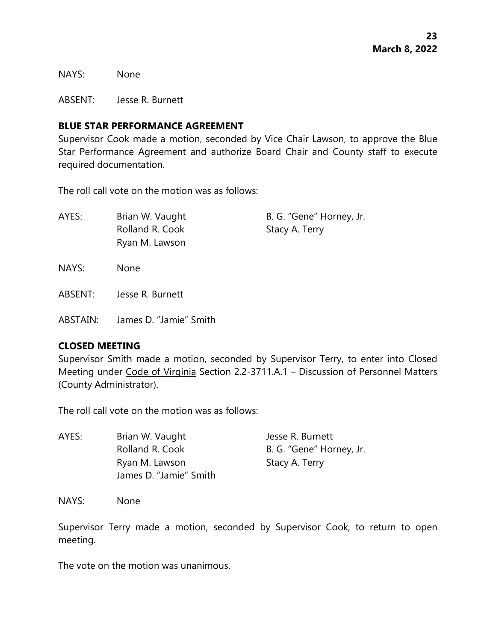NAYS: None

ABSENT: Jesse R. Burnett

### **BLUE STAR PERFORMANCE AGREEMENT**

Supervisor Cook made a motion, seconded by Vice Chair Lawson, to approve the Blue Star Performance Agreement and authorize Board Chair and County staff to execute required documentation.

The roll call vote on the motion was as follows:

| AYES: | Brian W. Vaught | B. G. "Gene" Horney, Jr. |
|-------|-----------------|--------------------------|
|       | Rolland R. Cook | Stacy A. Terry           |
|       | Ryan M. Lawson  |                          |
|       |                 |                          |

- NAYS: None
- ABSENT: Jesse R. Burnett
- ABSTAIN: James D. "Jamie" Smith

# **CLOSED MEETING**

Supervisor Smith made a motion, seconded by Supervisor Terry, to enter into Closed Meeting under Code of Virginia Section 2.2-3711.A.1 – Discussion of Personnel Matters (County Administrator).

The roll call vote on the motion was as follows:

| AYES: | Brian W. Vaught        | Jesse R. Burnett         |
|-------|------------------------|--------------------------|
|       | Rolland R. Cook        | B. G. "Gene" Horney, Jr. |
|       | Ryan M. Lawson         | Stacy A. Terry           |
|       | James D. "Jamie" Smith |                          |

NAYS: None

Supervisor Terry made a motion, seconded by Supervisor Cook, to return to open meeting.

The vote on the motion was unanimous.